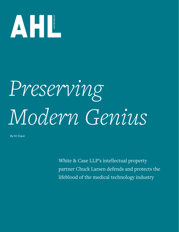

## *Preserving Modern Genius*

By KC Esper

White & Case LLP's intellectual property partner Chuck Larsen defends and protects the lifeblood of the medical technology industry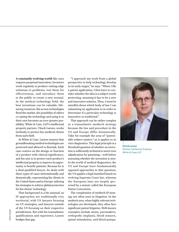**A constantly evolving world** like ours requires perpetual innovation. Inventors work regularly to produce cutting-edge solutions to problems, test them for effectiveness, and introduce them to the public to create a new normal. In the medical technology field, the best inventions can be valuable, lifesaving resources. But as new technologies flood the market, the possibility of others co-opting the technology and using it as their own becomes an ever-greater possibility. White & Case, LLP's intellectual property partner, Chuck Larsen, works tirelessly to protect his medtech clients from such theft.

At White & Case, Larsen ensures that groundbreaking medical technologies are protected and allowed to flourish. Each case centers on the design or function of a product with clinical significance, and his aim is to protect each product's intellectual property to improve its opportunity to benefit patients. Because he is a dual-qualified lawyer, he deals with these types of cases internationally and domestically, representing his clients in the United States and in Europe, tailoring his strategies to achieve global protection for his clients' technology.

That background is a bit unusual, as IP approaches are traditionally very territorial, with US lawyers focusing on US strategies, and lawyers outside of the US focusing on their respective jurisdictions. But with his transatlantic qualifications and experience, Larsen bridges that gap.

"I approach my work from a global perspective to help technology develop in its early stages," he says. "When I file a patent application, I first have to consider whether the idea is a subject worth protecting, meaning it has to be a new and innovative solution. Then, I must be mindful about which body of law I am submitting an application to in order to determine if a particular technology is innovative or traditional."

That approach can be rather complex in a transatlantic medtech strategy because the law and procedure in the US and Europe differ dramatically. Take for example the area of "patentable subject matter," as it applies to in vitro diagnostics. This legal principle is a threshold question of whether an invention is sufficiently technical to merit even adjudication for patenting—well before assessing whether the invention is new. In the world of medical diagnostics, the US and Europe have fundamentally opposed approaches to that question; the US applies a legal standard based on evolving Supreme Court law, whereas the European laws are largely governed by a statute called the European Patent Convention.

The complexities of medtech IP strategy are often seen in litigation. In the medtech area, when highly relevant technologies are developed, they often face significant patent litigation. Well-known examples include stents, pacemakers, orthopedic implants, blood sensors, spinal stimulation, and blood pumps.



**Chuck Larsen** *Partner, Intellectual Property* White & Case LLP